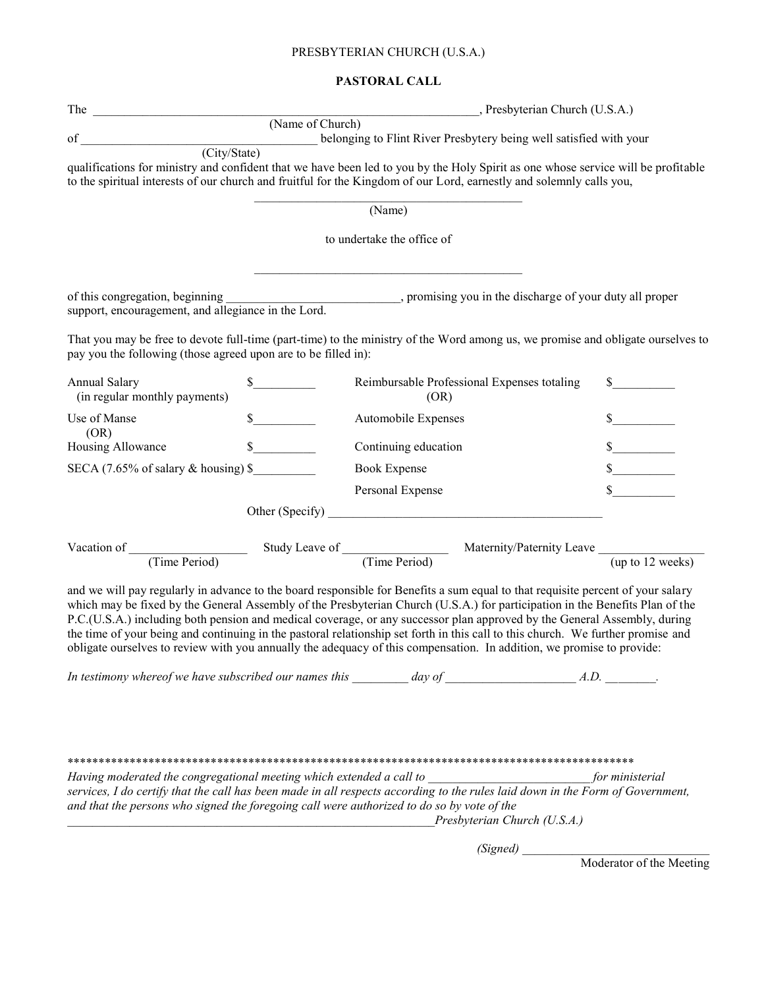# PRESBYTERIAN CHURCH (U.S.A.)

#### **PASTORAL CALL**

|                                                                | , Presbyterian Church (U.S.A.) |                                                                                                                                                                                                                                                                                                                                                                                                                                                                                                                                                                                                                                                          |                  |
|----------------------------------------------------------------|--------------------------------|----------------------------------------------------------------------------------------------------------------------------------------------------------------------------------------------------------------------------------------------------------------------------------------------------------------------------------------------------------------------------------------------------------------------------------------------------------------------------------------------------------------------------------------------------------------------------------------------------------------------------------------------------------|------------------|
|                                                                | (Name of Church)               |                                                                                                                                                                                                                                                                                                                                                                                                                                                                                                                                                                                                                                                          |                  |
| of                                                             |                                | belonging to Flint River Presbytery being well satisfied with your (City/State)                                                                                                                                                                                                                                                                                                                                                                                                                                                                                                                                                                          |                  |
|                                                                |                                | qualifications for ministry and confident that we have been led to you by the Holy Spirit as one whose service will be profitable<br>to the spiritual interests of our church and fruitful for the Kingdom of our Lord, earnestly and solemnly calls you,                                                                                                                                                                                                                                                                                                                                                                                                |                  |
|                                                                |                                | (Name)                                                                                                                                                                                                                                                                                                                                                                                                                                                                                                                                                                                                                                                   |                  |
|                                                                |                                | to undertake the office of                                                                                                                                                                                                                                                                                                                                                                                                                                                                                                                                                                                                                               |                  |
|                                                                |                                | of this congregation, beginning __________________________, promising you in the discharge of your duty all proper                                                                                                                                                                                                                                                                                                                                                                                                                                                                                                                                       |                  |
| support, encouragement, and allegiance in the Lord.            |                                |                                                                                                                                                                                                                                                                                                                                                                                                                                                                                                                                                                                                                                                          |                  |
| pay you the following (those agreed upon are to be filled in): |                                | That you may be free to devote full-time (part-time) to the ministry of the Word among us, we promise and obligate ourselves to                                                                                                                                                                                                                                                                                                                                                                                                                                                                                                                          |                  |
| <b>Annual Salary</b><br>(in regular monthly payments)          |                                | Reimbursable Professional Expenses totaling<br>(OR)                                                                                                                                                                                                                                                                                                                                                                                                                                                                                                                                                                                                      |                  |
| Use of Manse                                                   | $\mathbb{S}$                   | Automobile Expenses                                                                                                                                                                                                                                                                                                                                                                                                                                                                                                                                                                                                                                      |                  |
| (OR)<br>Housing Allowance                                      |                                | Continuing education                                                                                                                                                                                                                                                                                                                                                                                                                                                                                                                                                                                                                                     |                  |
| SECA $(7.65\% \text{ of salary} \& \text{ housing})$ \$        |                                | <b>Book Expense</b>                                                                                                                                                                                                                                                                                                                                                                                                                                                                                                                                                                                                                                      |                  |
|                                                                |                                | Personal Expense                                                                                                                                                                                                                                                                                                                                                                                                                                                                                                                                                                                                                                         |                  |
|                                                                |                                | Other (Specify)                                                                                                                                                                                                                                                                                                                                                                                                                                                                                                                                                                                                                                          |                  |
|                                                                |                                |                                                                                                                                                                                                                                                                                                                                                                                                                                                                                                                                                                                                                                                          |                  |
|                                                                |                                | Vacation of <u>Time Period</u> Study Leave of Maternity/Paternity Leave (Time Period) Maternity/Paternity Leave (up to 12 wee                                                                                                                                                                                                                                                                                                                                                                                                                                                                                                                            | (up to 12 weeks) |
|                                                                |                                | and we will pay regularly in advance to the board responsible for Benefits a sum equal to that requisite percent of your salary<br>which may be fixed by the General Assembly of the Presbyterian Church (U.S.A.) for participation in the Benefits Plan of the<br>P.C.(U.S.A.) including both pension and medical coverage, or any successor plan approved by the General Assembly, during<br>the time of your being and continuing in the pastoral relationship set forth in this call to this church. We further promise and<br>obligate ourselves to review with you annually the adequacy of this compensation. In addition, we promise to provide: |                  |
|                                                                |                                | In testimony whereof we have subscribed our names this $\frac{1}{\sqrt{1-\frac{1}{2}}}\frac{1}{\sqrt{1-\frac{1}{2}}}\frac{1}{\sqrt{1-\frac{1}{2}}}\frac{1}{\sqrt{1-\frac{1}{2}}}\frac{1}{\sqrt{1-\frac{1}{2}}}\frac{1}{\sqrt{1-\frac{1}{2}}}\frac{1}{\sqrt{1-\frac{1}{2}}}\frac{1}{\sqrt{1-\frac{1}{2}}}\frac{1}{\sqrt{1-\frac{1}{2}}}\frac{1}{\sqrt{1-\frac{1}{2}}}\frac{1}{$                                                                                                                                                                                                                                                                           |                  |
|                                                                |                                | Having moderated the congregational meeting which extended a call to<br>services, I do certify that the call has been made in all respects according to the rules laid down in the Form of Government,<br>and that the persons who signed the foregoing call were authorized to do so by vote of the<br>Presbyterian Church (U.S.A.)                                                                                                                                                                                                                                                                                                                     |                  |

*(Signed)* \_\_\_\_\_\_\_\_\_\_\_\_\_\_\_\_\_\_\_\_\_\_\_\_\_\_\_\_\_\_

Moderator of the Meeting